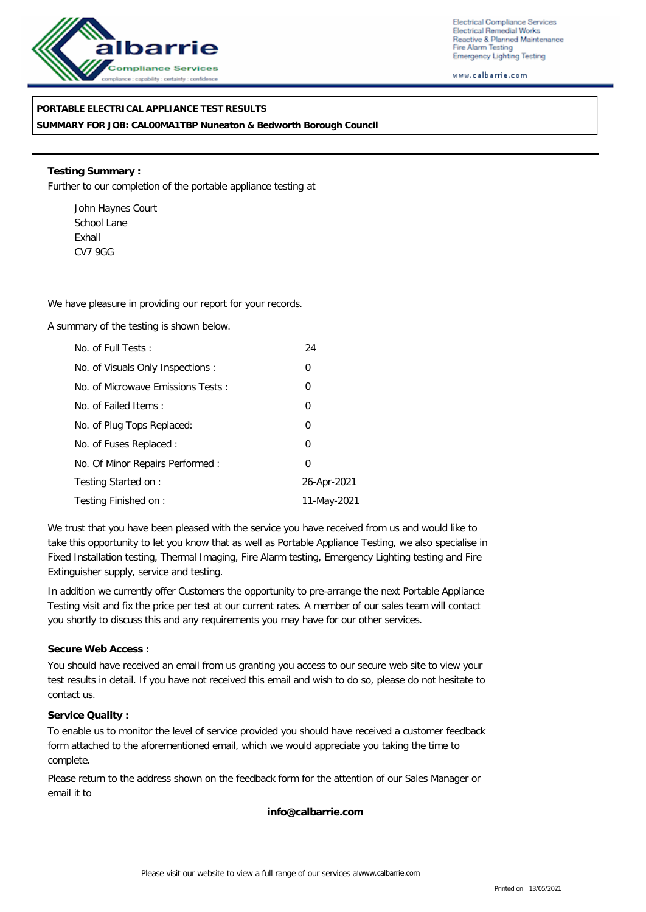

Electrical Compliance Services Electrical Remedial Works Reactive & Planned Maintenance Fire Alarm Testing Emergency Lighting Testing

www.calbarrie.com

## **PORTABLE ELECTRICAL APPLIANCE TEST RESULTS**

**SUMMARY FOR JOB: CAL00MA1TBP Nuneaton & Bedworth Borough Council**

**Testing Summary :** Further to our completion of the portable appliance testing at

John Haynes Court School Lane Exhall CV7 9GG

We have pleasure in providing our report for your records.

A summary of the testing is shown below.

| No. of Full Tests:                | 24          |
|-----------------------------------|-------------|
| No. of Visuals Only Inspections : | 0           |
| No. of Microwave Emissions Tests: | 0           |
| No. of Failed Items:              | 0           |
| No. of Plug Tops Replaced:        | 0           |
| No. of Fuses Replaced:            | 0           |
| No. Of Minor Repairs Performed:   | 0           |
| Testing Started on:               | 26-Apr-2021 |
| Testing Finished on:              | 11-May-2021 |

We trust that you have been pleased with the service you have received from us and would like to take this opportunity to let you know that as well as Portable Appliance Testing, we also specialise in Fixed Installation testing, Thermal Imaging, Fire Alarm testing, Emergency Lighting testing and Fire Extinguisher supply, service and testing.

In addition we currently offer Customers the opportunity to pre-arrange the next Portable Appliance Testing visit and fix the price per test at our current rates. A member of our sales team will contact you shortly to discuss this and any requirements you may have for our other services.

#### **Secure Web Access :**

You should have received an email from us granting you access to our secure web site to view your test results in detail. If you have not received this email and wish to do so, please do not hesitate to contact us.

#### **Service Quality :**

To enable us to monitor the level of service provided you should have received a customer feedback form attached to the aforementioned email, which we would appreciate you taking the time to complete.

Please return to the address shown on the feedback form for the attention of our Sales Manager or email it to

**info@calbarrie.com**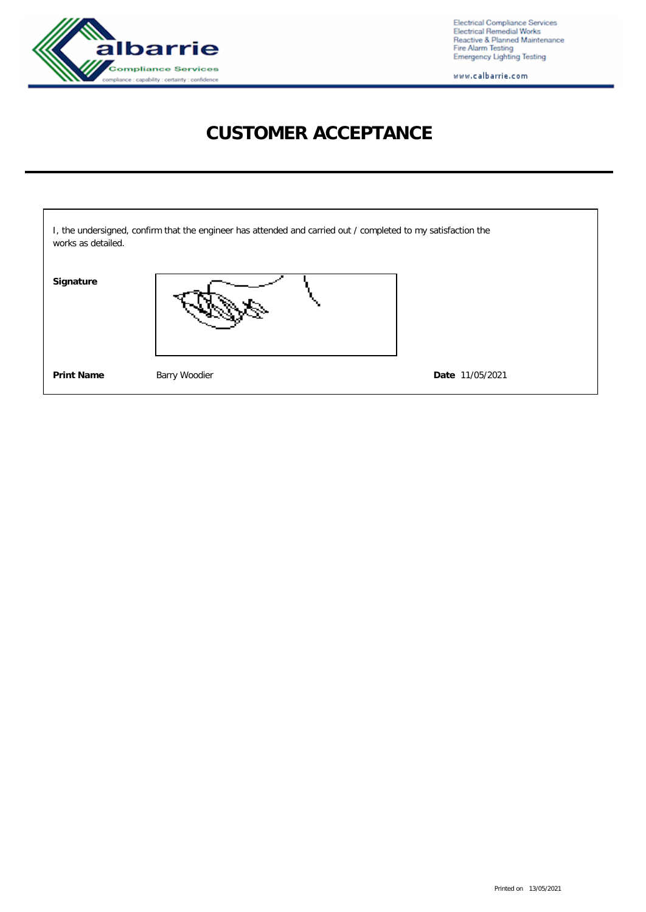

Electrical Compliance Services<br>Electrical Remedial Works<br>Reactive & Planned Maintenance<br>Fire Alarm Testing<br>Emergency Lighting Testing

www.calbarrie.com

# **CUSTOMER ACCEPTANCE**